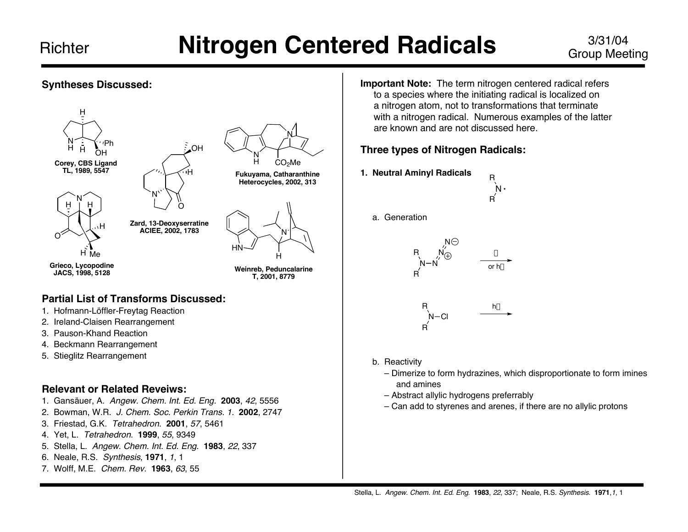# Group Meeting

### **Syntheses Discussed:**





**Zard, 13-Deoxyserratine ACIEE, 2002, 1783**

H

O

N

**Grieco, Lycopodine JACS, 1998, 5128**

O

H Me

**Weinreb, Peduncalarine T, 2001, 8779**

H

HN

N

### **Partial List of Transforms Discussed:**

- 1. Hofmann-Löffler-Freytag Reaction
- 2. Ireland-Claisen Rearrangement

H

- 3. Pauson-Khand Reaction
- 4. Beckmann Rearrangement
- 5. Stieglitz Rearrangement

### **Relevant or Related Reveiws:**

- 1. Gansäuer, A. Angew. Chem. Int. Ed. Eng. **2003**, 42, 5556
- 2. Bowman, W.R. J. Chem. Soc. Perkin Trans. 1. **2002**, 2747
- 3. Friestad, G.K. Tetrahedron. **2001**, 57, 5461
- 4. Yet, L. Tetrahedron. **1999**, 55, 9349
- 5. Stella, L. Angew. Chem. Int. Ed. Eng. **1983**, 22, 337
- 6. Neale, R.S. Synthesis, **1971**, <sup>1</sup>, 1
- 7. Wolff, M.E. Chem. Rev. **1963**, 63, 55

**Important Note:** The term nitrogen centered radical refers to a species where the initiating radical is localized on a nitrogen atom, not to transformations that terminate with a nitrogen radical. Numerous examples of the latter are known and are not discussed here.

### **Three types of Nitrogen Radicals:**

**1. Neutral Aminyl Radicals**



a. Generation



- b. Reactivity
	- Dimerize to form hydrazines, which disproportionate to form imines and amines
	- Abstract allylic hydrogens preferrably
	- Can add to styrenes and arenes, if there are no allylic protons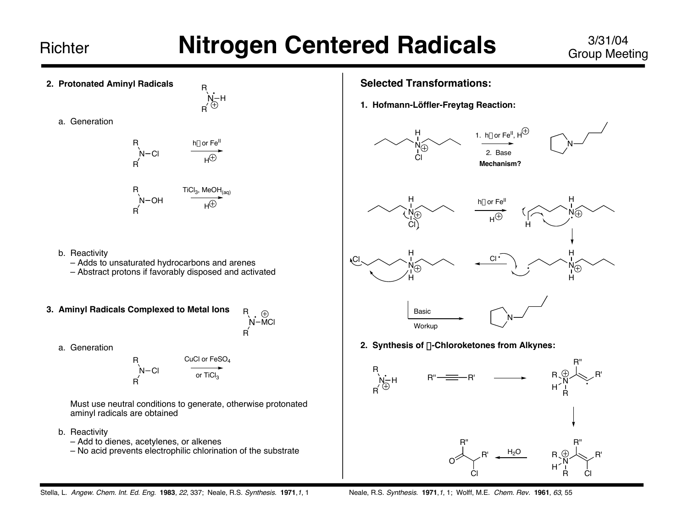- **2. Protonated Aminyl Radicals**
	- a. Generation

| R | hv or Fe <sup>II</sup> |
|---|------------------------|
| R | $H^{\oplus}$           |
| R | $N-OH$                 |
| M | $H^{\oplus}$           |
| M | $H^{\oplus}$           |

N R

H

R

- b. Reactivity
	- Adds to unsaturated hydrocarbons and arenes
	- Abstract protons if favorably disposed and activated
- **3. Aminyl Radicals Complexed to Metal Ions** R
- $\Theta$ N-MCl

R

a. Generation

$$
R \nVarrow{\text{Cl}} \nVarrow{\text{Cl}} \nVarrow{\text{cr}} \nVarrow{\text{cr}} \nVarrow{\text{cl}} \nVarrow{\text{cl}} \nVarrow{\text{cl}} \nVarrow{\text{cl}} \nVarrow{\text{cl}} \nVarrow{\text{cl}} \nVarrow{\text{cl}} \nVarrow{\text{cl}} \nVarrow{\text{cl}} \nVarrow{\text{cl}} \nVarrow{\text{cl}} \nVarrow{\text{cl}} \nVarrow{\text{cl}} \nVarrow{\text{cl}} \nVarrow{\text{cl}} \nVarrow{\text{cl}} \nVarrow{\text{cl}} \nVarrow{\text{cl}} \nVarrow{\text{cl}} \nVarrow{\text{cl}} \nVarrow{\text{cl}} \nVarrow{\text{cl}} \nVarrow{\text{cl}} \nVarrow{\text{cl}} \nVarrow{\text{cl}} \nVarrow{\text{cl}} \nVarrow{\text{cl}} \nVarrow{\text{cl}} \nVarrow{\text{cl}} \nVarrow{\text{cl}} \nVarrow{\text{cl}} \nVarrow{\text{cl}} \nVarrow{\text{cl}} \nVarrow{\text{cl}} \nVarrow{\text{cl}} \nVarrow{\text{cl}} \nVarrow{\text{cl}} \nVarrow{\text{cl}} \nVarrow{\text{cl}} \nVarrow{\text{cl}} \nVarrow{\text{cl}} \nVarrow{\text{cl}} \nVarrow{\text{cl}} \nVarrow{\text{cl}} \nVarrow{\text{cl}} \nVarrow{\text{cl}} \nVarrow{\text{cl}} \nVarrow{\text{cl}} \nVarrow{\text{cl}} \nVarrow{\text{cl}} \nVarrow{\text{cl}} \nVarrow{\text{cl}} \nVarrow{\text{cl}} \nVarrow{\text{cl}} \nVarrow{\text{cl}} \nVarrow{\text{cl}} \nVarrow{\text{cl}} \nVarrow{\text{cl}} \nVarrow{\text{cl}} \nVarrow{\text{cl}} \nVarrow{\text{cl}} \nVarrow{\text{cl}} \nVarrow{\text{cl}} \nVarrow{\text{cl}} \nVarrow{\text{cl}} \nVarrow{\text{cl}} \nVarrow{\text{cl}} \nVarrow{\text{cl}} \nVarrow{\text{cl}} \nVarrow{\text{cl}} \nVarrow{\text{cl}} \nVarrow{\text{cl}} \nVarrow{\text{cl}} \nVarrow{\text{cl}} \nVarrow{\text{cl}} \nVarrow{\text{cl}} \nVarrow{\text{cl}} \nVarrow{\text{cl}} \nVarrow{\text{cl}} \nVarrow{\text{cl}}
$$

Must use neutral conditions to generate, otherwise protonated aminyl radicals are obtained

- b. Reactivity
	- Add to dienes, acetylenes, or alkenes
	- No acid prevents electrophilic chlorination of the substrate

### **Selected Transformations:**

**1. Hofmann-Löffler-Freytag Reaction:**







**2. Synthesis of** a**-Chloroketones from Alkynes:**

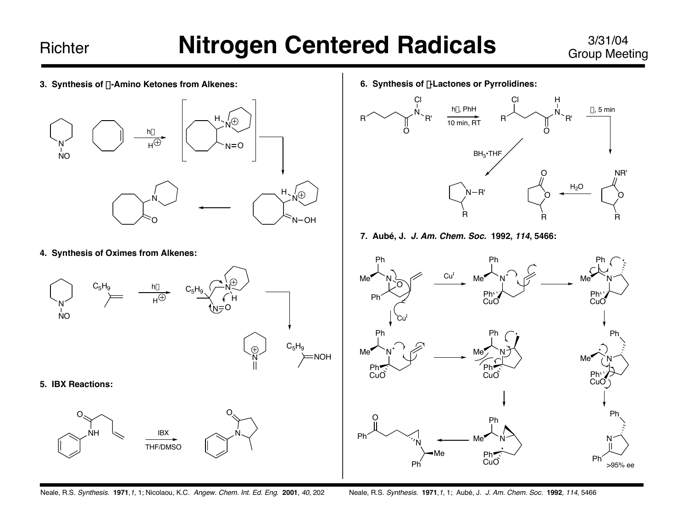**3. Synthesis of** a**-Amino Ketones from Alkenes:**



**4. Synthesis of Oximes from Alkenes:**



**6. Synthesis of** g**-Lactones or Pyrrolidines:**



**7. Aubé, J. J. Am. Chem. Soc. 1992, 114, 5466:**



Neale, R.S. Synthesis. **1971**,1, 1; Nicolaou, K.C. Angew. Chem. Int. Ed. Eng. **2001**, 40, 202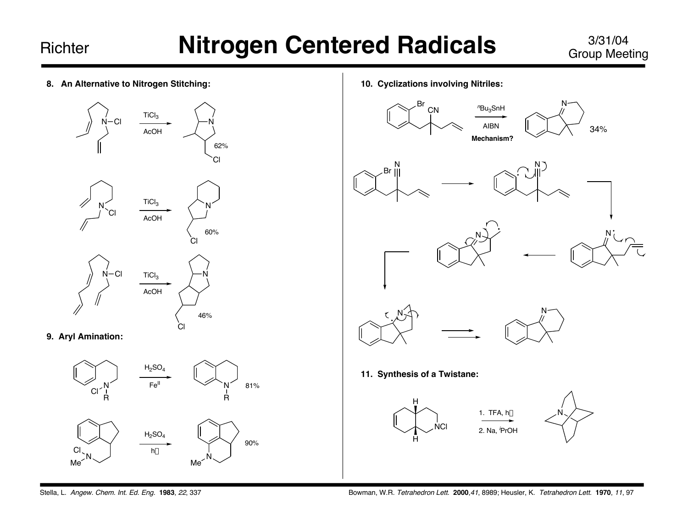Group Meeting

- **8. An Alternative to Nitrogen Stitching: 9. Aryl Amination:**  $N - C1$ TiCl $_3$ AcOH N 62% Cl N Cl TiCl<sub>3</sub> AcOH N Cl 60%  $N - Cl$  TiCl<sub>3</sub> AcOH N Cl 46%
	- $Cl^{\nearrow}$ <sup>N</sup> R  $H<sub>2</sub>SO<sub>4</sub>$  $Fe<sup>II</sup>$ R 81% N Me Cl  $H<sub>2</sub>SO<sub>4</sub>$ hv  $\overline{N}$ Me 90%

**10. Cyclizations involving Nitriles:**

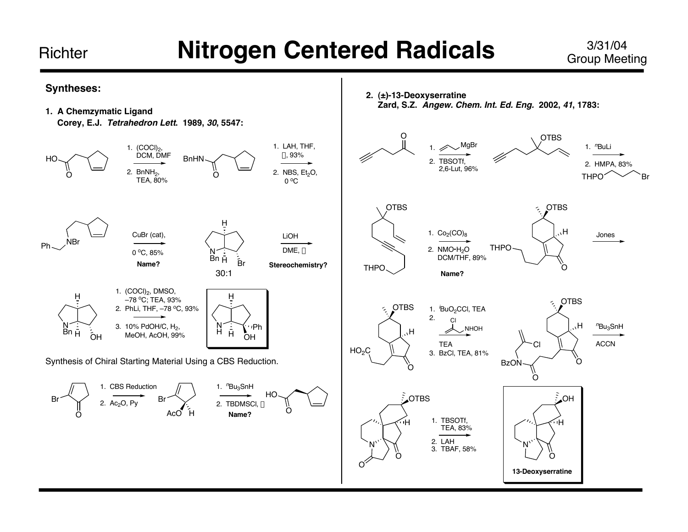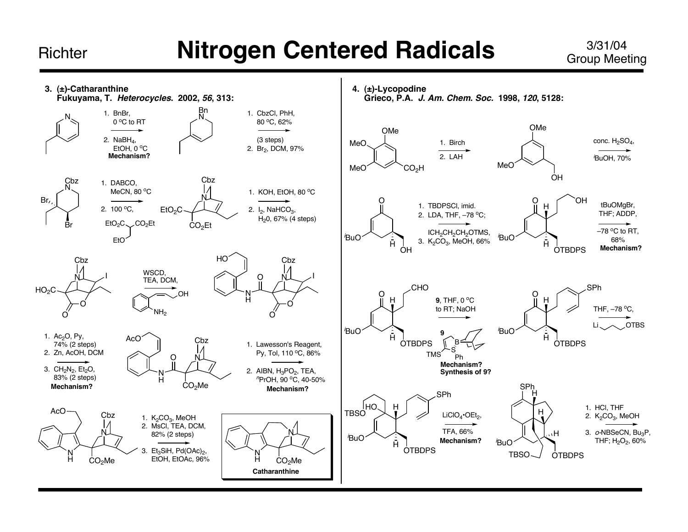## Group Meeting